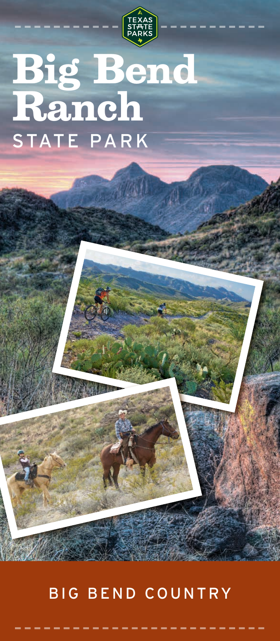

## **Big Bend Ranch** STATE PARK

## BIG BEND COUNTRY